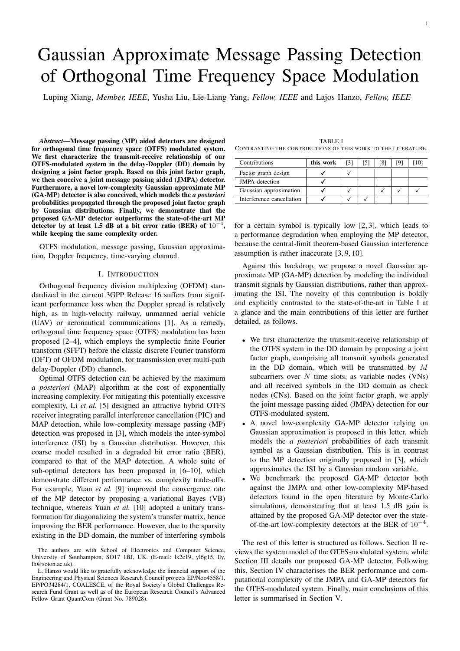# Gaussian Approximate Message Passing Detection of Orthogonal Time Frequency Space Modulation

Luping Xiang, *Member, IEEE*, Yusha Liu, Lie-Liang Yang, *Fellow, IEEE* and Lajos Hanzo, *Fellow, IEEE*

*Abstract*—Message passing (MP) aided detectors are designed for orthogonal time frequency space (OTFS) modulated system. We first characterize the transmit-receive relationship of our OTFS-modulated system in the delay-Doppler (DD) domain by designing a joint factor graph. Based on this joint factor graph, we then conceive a joint message passing aided (JMPA) detector. Furthermore, a novel low-complexity Gaussian approximate MP (GA-MP) detector is also conceived, which models the *a posteriori* probabilities propagated through the proposed joint factor graph by Gaussian distributions. Finally, we demonstrate that the proposed GA-MP detector outperforms the state-of-the-art MP detector by at least 1.5 dB at a bit error ratio (BER) of  $10^{-4}$ , while keeping the same complexity order.

OTFS modulation, message passing, Gaussian approximation, Doppler frequency, time-varying channel.

#### I. INTRODUCTION

Orthogonal frequency division multiplexing (OFDM) standardized in the current 3GPP Release 16 suffers from significant performance loss when the Doppler spread is relatively high, as in high-velocity railway, unmanned aerial vehicle (UAV) or aeronautical communications [1]. As a remedy, orthogonal time frequency space (OTFS) modulation has been proposed [2–4], which employs the symplectic finite Fourier transform (SFFT) before the classic discrete Fourier transform (DFT) of OFDM modulation, for transmission over multi-path delay-Doppler (DD) channels.

Optimal OTFS detection can be achieved by the maximum *a posteriori* (MAP) algorithm at the cost of exponentially increasing complexity. For mitigating this potentially excessive complexity, Li *et al.* [5] designed an attractive hybrid OTFS receiver integrating parallel interference cancellation (PIC) and MAP detection, while low-complexity message passing (MP) detection was proposed in [3], which models the inter-symbol interference (ISI) by a Gaussian distribution. However, this coarse model resulted in a degraded bit error ratio (BER), compared to that of the MAP detection. A whole suite of sub-optimal detectors has been proposed in [6–10], which demonstrate different performance vs. complexity trade-offs. For example, Yuan *et al.* [9] improved the convergence rate of the MP detector by proposing a variational Bayes (VB) technique, whereas Yuan *et al.* [10] adopted a unitary transformation for diagonalizing the system's transfer matrix, hence improving the BER performance. However, due to the sparsity existing in the DD domain, the number of interfering symbols

TABLE I CONTRASTING THE CONTRIBUTIONS OF THIS WORK TO THE LITERATURE.

| Contributions             | this work |  |  |  |
|---------------------------|-----------|--|--|--|
| Factor graph design       |           |  |  |  |
| <b>JMPA</b> detection     |           |  |  |  |
| Gaussian approximation    |           |  |  |  |
| Interference cancellation |           |  |  |  |

for a certain symbol is typically low [2, 3], which leads to a performance degradation when employing the MP detector, because the central-limit theorem-based Gaussian interference assumption is rather inaccurate [3, 9, 10].

Against this backdrop, we propose a novel Gaussian approximate MP (GA-MP) detection by modeling the individual transmit signals by Gaussian distributions, rather than approximating the ISI. The novelty of this contribution is boldly and explicitly contrasted to the state-of-the-art in Table I at a glance and the main contributions of this letter are further detailed, as follows.

- We first characterize the transmit-receive relationship of the OTFS system in the DD domain by proposing a joint factor graph, comprising all transmit symbols generated in the DD domain, which will be transmitted by  $M$ subcarriers over  $N$  time slots, as variable nodes (VNs) and all received symbols in the DD domain as check nodes (CNs). Based on the joint factor graph, we apply the joint message passing aided (JMPA) detection for our OTFS-modulated system.
- A novel low-complexity GA-MP detector relying on Gaussian approximation is proposed in this letter, which models the *a posteriori* probabilities of each transmit symbol as a Gaussian distribution. This is in contrast to the MP detection originally proposed in [3], which approximates the ISI by a Gaussian random variable.
- We benchmark the proposed GA-MP detector both against the JMPA and other low-complexity MP-based detectors found in the open literature by Monte-Carlo simulations, demonstrating that at least 1.5 dB gain is attained by the proposed GA-MP detector over the stateof-the-art low-complexity detectors at the BER of 10<sup>−</sup><sup>4</sup> .

The rest of this letter is structured as follows. Section II reviews the system model of the OTFS-modulated system, while Section III details our proposed GA-MP detector. Following this, Section IV characterises the BER performance and computational complexity of the JMPA and GA-MP detectors for the OTFS-modulated system. Finally, main conclusions of this letter is summarised in Section V.

The authors are with School of Electronics and Computer Science, University of Southampton, SO17 1BJ, UK. (E-mail: lx2e19, yl6g15, lly, lh@soton.ac.uk).

L. Hanzo would like to gratefully acknowledge the financial support of the Engineering and Physical Sciences Research Council projects EP/Noo4558/1, EP/PO34284/1, COALESCE, of the Royal Society's Global Challenges Research Fund Grant as well as of the European Research Council's Advanced Fellow Grant QuantCom (Grant No. 789028).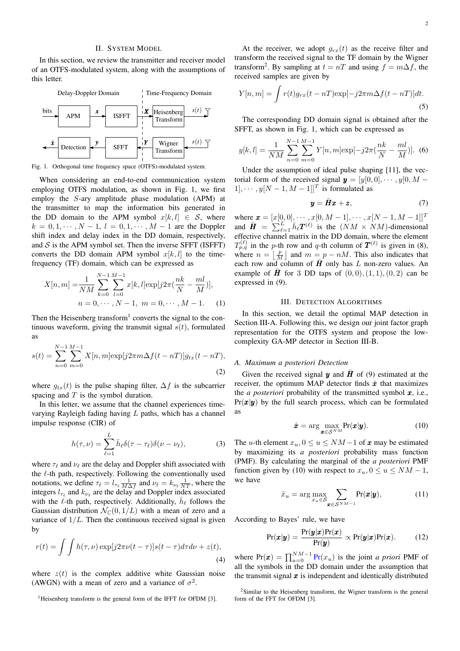#### II. SYSTEM MODEL

In this section, we review the transmitter and receiver model of an OTFS-modulated system, along with the assumptions of this letter.



Fig. 1. Orthogonal time frequency space (OTFS)-modulated system.

When considering an end-to-end communication system employing OTFS modulation, as shown in Fig. 1, we first employ the S-ary amplitude phase modulation (APM) at the transmitter to map the information bits generated in the DD domain to the APM symbol  $x[k, l] \in S$ , where  $k = 0, 1, \dots, N - 1, l = 0, 1, \dots, M - 1$  are the Doppler shift index and delay index in the DD domain, respectively, and  $S$  is the APM symbol set. Then the inverse SFFT (ISFFT) converts the DD domain APM symbol  $x[k, l]$  to the timefrequency (TF) domain, which can be expressed as

$$
X[n, m] = \frac{1}{NM} \sum_{k=0}^{N-1} \sum_{l=0}^{M-1} x[k, l] \exp[j2\pi(\frac{nk}{N} - \frac{ml}{M})],
$$
  
\n
$$
n = 0, \cdots, N-1, m = 0, \cdots, M-1.
$$
 (1)

Then the Heisenberg transform<sup>1</sup> converts the signal to the continuous waveform, giving the transmit signal  $s(t)$ , formulated as

$$
s(t) = \sum_{n=0}^{N-1} \sum_{m=0}^{M-1} X[n, m] \exp[j2\pi m\Delta f(t - nT)] g_{tx}(t - nT),
$$
\n(2)

where  $g_{tx}(t)$  is the pulse shaping filter,  $\Delta f$  is the subcarrier spacing and  $T$  is the symbol duration.

In this letter, we assume that the channel experiences timevarying Rayleigh fading having  $L$  paths, which has a channel impulse response (CIR) of

$$
h(\tau,\nu) = \sum_{\ell=1}^{L} \bar{h}_{\ell} \delta(\tau - \tau_{\ell}) \delta(\nu - \nu_{\ell}), \tag{3}
$$

where  $\tau_{\ell}$  and  $\nu_{\ell}$  are the delay and Doppler shift associated with the  $\ell$ -th path, respectively. Following the conventionally used notations, we define  $\tau_\ell = l_{\tau_\ell} \frac{1}{M \Delta f}$  and  $\nu_\ell = k_{\nu_\ell} \frac{1}{NT}$ , where the integers  $l_{\tau_{\ell}}$  and  $k_{\nu_{\ell}}$  are the delay and Doppler index associated with the  $\ell$ -th path, respectively. Additionally,  $\bar{h}_{\ell}$  follows the Gaussian distribution  $\mathcal{N}_{\mathbb{C}}(0, 1/L)$  with a mean of zero and a variance of  $1/L$ . Then the continuous received signal is given by

$$
r(t) = \int \int h(\tau, \nu) \exp[j2\pi\nu(t-\tau)]s(t-\tau)d\tau d\nu + z(t),\tag{4}
$$

where  $z(t)$  is the complex additive white Gaussian noise (AWGN) with a mean of zero and a variance of  $\sigma^2$ .

<sup>1</sup>Heisenberg transform is the general form of the IFFT for OFDM [3].

At the receiver, we adopt  $g_{rx}(t)$  as the receive filter and transform the received signal to the TF domain by the Wigner transform<sup>2</sup>. By sampling at  $t = nT$  and using  $f = m\Delta f$ , the received samples are given by

$$
Y[n,m] = \int r(t)g_{rx}(t - nT)\exp[-j2\pi m\Delta f(t - nT)]dt.
$$
\n(5)

The corresponding DD domain signal is obtained after the SFFT, as shown in Fig. 1, which can be expressed as

$$
y[k,l] = \frac{1}{NM} \sum_{n=0}^{N-1} \sum_{m=0}^{M-1} Y[n,m] \exp[-j2\pi(\frac{nk}{N} - \frac{ml}{M})].
$$
 (6)

Under the assumption of ideal pulse shaping [11], the vectorial form of the received signal  $y = [y[0, 0], \cdots, y[0, M [1], \cdots, y[N-1, M-1]]^T$  is formulated as

$$
y = \bar{H}x + z, \tag{7}
$$

where  $\mathbf{x} = [x[0, 0], \cdots, x[0, M-1], \cdots, x[N-1, M-1]]^T$ and  $\bar{H} = \sum_{\ell=1}^{L} \bar{h}_{\ell} T^{(\ell)}$  is the  $(NM \times NM)$ -dimensional effective channel matrix in the DD domain, where the element  $T_{p,q}^{(\ell)}$  in the p-th row and q-th column of  $T^{(\ell)}$  is given in (8), where  $n = \lfloor \frac{p}{M} \rfloor$  and  $m = p - nM$ . This also indicates that each row and column of  $\overline{H}$  only has L non-zero values. An example of **H** for 3 DD taps of  $(0, 0), (1, 1), (0, 2)$  can be expressed in (9).

#### III. DETECTION ALGORITHMS

In this section, we detail the optimal MAP detection in Section III-A. Following this, we design our joint factor graph representation for the OTFS system and propose the lowcomplexity GA-MP detector in Section III-B.

#### *A. Maximum a posteriori Detection*

Given the received signal y and  $\bar{H}$  of (9) estimated at the receiver, the optimum MAP detector finds  $\hat{x}$  that maximizes the *a posteriori* probability of the transmitted symbol  $x$ , i.e.,  $Pr(x|y)$  by the full search process, which can be formulated as

$$
\hat{\boldsymbol{x}} = \arg\max_{\boldsymbol{x} \in \mathcal{S}^{NM}} \Pr(\boldsymbol{x}|\boldsymbol{y}). \tag{10}
$$

The u-th element  $x_u$ ,  $0 \le u \le NM-1$  of x may be estimated by maximizing its *a posteriori* probability mass function (PMF). By calculating the marginal of the *a posteriori* PMF function given by (10) with respect to  $x_u$ ,  $0 \le u \le NM - 1$ , we have

$$
\hat{x}_u = \arg\max_{x_u \in \mathcal{S}} \sum_{\pmb{x} \in \mathcal{S}^{NM-1}} \Pr(\pmb{x}|\pmb{y}),\tag{11}
$$

According to Bayes' rule, we have

$$
Pr(\boldsymbol{x}|\boldsymbol{y}) = \frac{Pr(\boldsymbol{y}|\boldsymbol{x})Pr(\boldsymbol{x})}{Pr(\boldsymbol{y})} \propto Pr(\boldsymbol{y}|\boldsymbol{x})Pr(\boldsymbol{x}). \hspace{1cm} (12)
$$

where  $Pr(\mathbf{x}) = \prod_{u=0}^{NM-1} Pr(x_u)$  is the joint *a priori* PMF of all the symbols in the DD domain under the assumption that the transmit signal  $x$  is independent and identically distributed

<sup>&</sup>lt;sup>2</sup>Similar to the Heisenberg transform, the Wigner transform is the general form of the FFT for OFDM [3].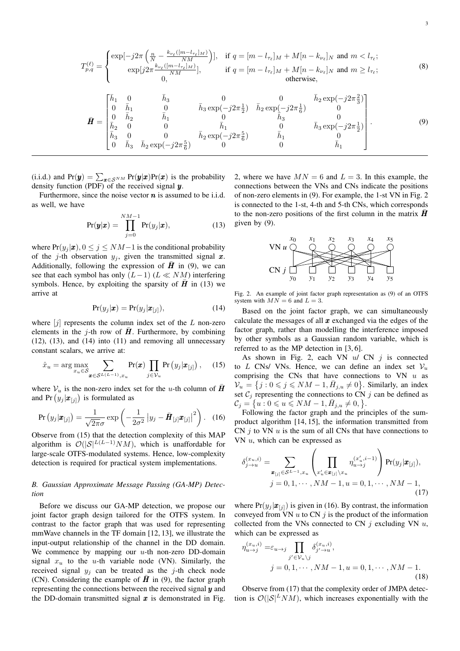$$
T_{p,q}^{(\ell)} = \begin{cases} \exp[-j2\pi \left(\frac{n}{N} - \frac{k_{\nu_{\ell}}([m-l_{\tau_{\ell}}]_M)}{NM}\right)], & \text{if } q = [m-l_{\tau_{\ell}}]_M + M[n-k_{\nu_{\ell}}]_N \text{ and } m < l_{\tau_{\ell}};\\ \exp[j2\pi \frac{k_{\nu_{\ell}}([m-l_{\tau_{\ell}}]_M)}{NM}], & \text{if } q = [m-l_{\tau_{\ell}}]_M + M[n-k_{\nu_{\ell}}]_N \text{ and } m \ge l_{\tau_{\ell}};\\ 0, & \text{otherwise}, \end{cases}
$$
(8)

$$
\bar{H} = \begin{bmatrix} \bar{h}_1 & 0 & \bar{h}_3 & 0 & 0 & \bar{h}_2 \exp(-j2\pi \frac{2}{3}) \\ 0 & \bar{h}_1 & 0 & \bar{h}_3 \exp(-j2\pi \frac{1}{2}) & \bar{h}_2 \exp(-j2\pi \frac{1}{6}) & 0 \\ 0 & \bar{h}_2 & \bar{h}_1 & 0 & \bar{h}_3 & 0 \\ \bar{h}_2 & 0 & 0 & \bar{h}_1 & 0 & \bar{h}_3 \exp(-j2\pi \frac{1}{2}) \\ \bar{h}_3 & 0 & 0 & \bar{h}_2 \exp(-j2\pi \frac{5}{6}) & \bar{h}_1 & 0 \\ 0 & \bar{h}_3 & \bar{h}_2 \exp(-j2\pi \frac{5}{6}) & 0 & 0 & \bar{h}_1 \end{bmatrix}.
$$
 (9)

(i.i.d.) and  $Pr(y) = \sum_{x \in S^{NM}} Pr(y|x)Pr(x)$  is the probability density function (PDF) of the received signal  $y$ .

Furthermore, since the noise vector  $n$  is assumed to be i.i.d. as well, we have

$$
Pr(\boldsymbol{y}|\boldsymbol{x}) = \prod_{j=0}^{NM-1} Pr(y_j|\boldsymbol{x}), \qquad (13)
$$

where  $Pr(y_j | \bm{x})$ ,  $0 \le j \le NM-1$  is the conditional probability of the j-th observation  $y_j$ , given the transmitted signal x. Additionally, following the expression of  $\overline{H}$  in (9), we can see that each symbol has only  $(L-1)$   $(L \ll NM)$  interfering symbols. Hence, by exploiting the sparsity of  $\bar{H}$  in (13) we arrive at

$$
Pr(y_j|\boldsymbol{x}) = Pr(y_j|\boldsymbol{x}_{[j]}),
$$
\n(14)

where  $[j]$  represents the column index set of the L non-zero elements in the j-th row of  $\vec{H}$ . Furthermore, by combining (12), (13), and (14) into (11) and removing all unnecessary constant scalars, we arrive at:

$$
\hat{x}_u = \arg \max_{x_u \in \mathcal{S}} \sum_{\boldsymbol{x} \in \mathcal{S}^{L(L-1)}, x_u} \Pr(\boldsymbol{x}) \prod_{j \in \mathcal{V}_u} \Pr(y_j | \boldsymbol{x}_{[j]}) , \quad (15)
$$

where  $V_u$  is the non-zero index set for the u-th column of  $H$ and Pr  $(y_j|\boldsymbol{x}_{[j]})$  is formulated as

$$
\Pr(y_j|\boldsymbol{x}_{[j]}) = \frac{1}{\sqrt{2\pi}\sigma} \exp\left(-\frac{1}{2\sigma^2} |y_j - \bar{\boldsymbol{H}}_{[j]}\boldsymbol{x}_{[j]}|^2\right). \quad (16)
$$

Observe from (15) that the detection complexity of this MAP algorithm is  $\mathcal{O}(|\mathcal{S}|^{L(L-1)}NM)$ , which is unaffordable for large-scale OTFS-modulated systems. Hence, low-complexity detection is required for practical system implementations.

## *B. Gaussian Approximate Message Passing (GA-MP) Detection*

Before we discuss our GA-MP detection, we propose our joint factor graph design tailored for the OTFS system. In contrast to the factor graph that was used for representing mmWave channels in the TF domain [12, 13], we illustrate the input-output relationship of the channel in the DD domain. We commence by mapping our  $u$ -th non-zero DD-domain signal  $x_u$  to the u-th variable node (VN). Similarly, the received signal  $y_i$  can be treated as the j-th check node (CN). Considering the example of  $\bar{H}$  in (9), the factor graph representing the connections between the received signal  $y$  and the DD-domain transmitted signal  $x$  is demonstrated in Fig. 2, where we have  $MN = 6$  and  $L = 3$ . In this example, the connections between the VNs and CNs indicate the positions of non-zero elements in (9). For example, the 1-st VN in Fig. 2 is connected to the 1-st, 4-th and 5-th CNs, which corresponds to the non-zero positions of the first column in the matrix  $H$ given by (9).



Fig. 2. An example of joint factor graph representation as (9) of an OTFS system with  $MN = 6$  and  $L = 3$ .

Based on the joint factor graph, we can simultaneously calculate the messages of all  $x$  exchanged via the edges of the factor graph, rather than modelling the interference imposed by other symbols as a Gaussian random variable, which is referred to as the MP detection in [3, 6].

As shown in Fig. 2, each VN  $u / CN$  *j* is connected to L CNs/ VNs. Hence, we can define an index set  $V_u$ comprising the CNs that have connections to VN  $u$  as  $\mathcal{V}_u = \{j : 0 \leq j \leq N M - 1, \overline{H}_{j,u} \neq 0\}$ . Similarly, an index set  $C_i$  representing the connections to CN j can be defined as  $C_j = \{u : 0 \leq u \leq NM - 1, \bar{H}_{j,u} \neq 0, \}.$ 

Following the factor graph and the principles of the sumproduct algorithm [14, 15], the information transmitted from CN  $j$  to VN  $u$  is the sum of all CNs that have connections to VN  $u$ , which can be expressed as

$$
\delta_{j \to u}^{(x_u, i)} = \sum_{\mathbf{x}_{[j]} \in \mathcal{S}^{L-1}, x_u} \left( \prod_{x'_u \in \mathbf{x}_{[j]}\setminus x_u} \eta_{u \to j}^{(x'_u, i-1)} \right) \Pr(y_j | \mathbf{x}_{[j]}),
$$
  

$$
j = 0, 1, \cdots, NM - 1, u = 0, 1, \cdots, NM - 1,
$$
\n(17)

where  $Pr(y_i | \boldsymbol{x}_{[i]})$  is given in (16). By contrast, the information conveyed from VN  $u$  to CN  $j$  is the product of the information collected from the VNs connected to CN  $j$  excluding VN  $u$ , which can be expressed as

$$
\eta_{u \to j}^{(x_u, i)} = \varepsilon_{u \to j} \prod_{j' \in \mathcal{V}_u \setminus j} \delta_{j' \to u}^{(x_u, i)}, \nj = 0, 1, \cdots, NM - 1, u = 0, 1, \cdots, NM - 1.
$$
\n(18)

Observe from (17) that the complexity order of JMPA detection is  $O(|\mathcal{S}|^L NM)$ , which increases exponentially with the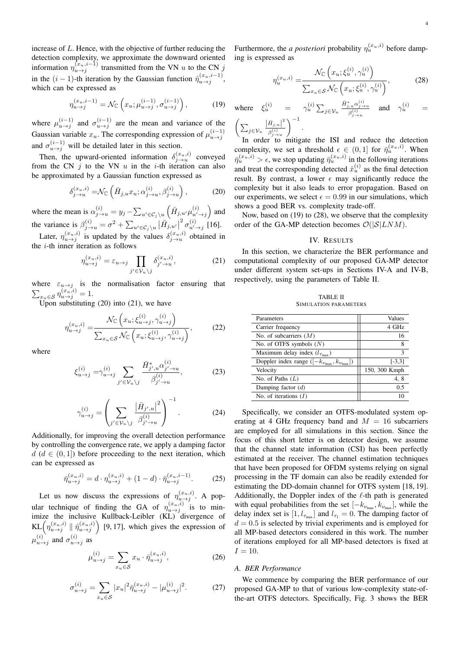increase of L. Hence, with the objective of further reducing the detection complexity, we approximate the downward oriented information  $\eta_{u \to j}^{(x_u, i-1)}$  transmitted from the VN u to the CN j in the  $(i-1)$ -th iteration by the Gaussian function  $\hat{\eta}_{u \to j}^{(x_u, i-1)}$ , which can be expressed as

$$
\eta_{u \to j}^{(x_u, i-1)} = \mathcal{N}_{\mathbb{C}} \left( x_u; \mu_{u \to j}^{(i-1)}, \sigma_{u \to j}^{(i-1)} \right),\tag{19}
$$

where  $\mu_{u \to j}^{(i-1)}$  and  $\sigma_{u \to j}^{(i-1)}$  are the mean and variance of the Gaussian variable  $x_u$ . The corresponding expression of  $\mu_{u \to j}^{(i-1)}$ and  $\sigma_{u \to j}^{(i-1)}$  will be detailed later in this section.

Then, the upward-oriented information  $\delta_{j \to u}^{(x_u,i)}$  conveyed from the CN  $i$  to the VN u in the *i*-th iteration can also be approximated by a Gaussian function expressed as

$$
\delta_{j \to u}^{(x_u, i)} = \mathcal{N}_{\mathbb{C}} \left( \bar{H}_{j, u} x_u; \alpha_{j \to u}^{(i)}, \beta_{j \to u}^{(i)} \right), \tag{20}
$$

where the mean is  $\alpha_{j \to u}^{(i)} = y_j - \sum_{u' \in C_j \setminus u} \left( \bar{H}_{j, u'} \mu_{u' \to j}^{(i)} \right)$  and the variance is  $\beta_{j \to u}^{(i)} = \sigma^2 + \sum_{u' \in C_j \setminus u} |\bar{H}_{j,u'}|$  $^{2} \sigma_{u' \to j}^{(i)}$  [16].

Later,  $\eta_{u \to j}^{(x_u, i)}$  is updated by the values  $\delta_{j \to u}^{(x_u, i)}$  obtained in the  $i$ -th inner iteration as follows

$$
\eta_{u \to j}^{(x_u, i)} = \varepsilon_{u \to j} \prod_{j' \in \mathcal{V}_u \setminus j} \delta_{j' \to u}^{(x_u, i)},\tag{21}
$$

where  $\varepsilon_{u\to j}$  is the normalisation factor ensuring that  $\sum_{x_u \in \mathcal{S}} \eta_{u \to j}^{(x_u, i)} = 1.$ 

Upon substituting  $(20)$  into  $(21)$ , we have

$$
\eta_{u \to j}^{(x_u, i)} = \frac{\mathcal{N}_{\mathbb{C}}\left(x_u; \xi_{u \to j}^{(i)}, \gamma_{u \to j}^{(i)}\right)}{\sum_{x_u \in \mathcal{S}} \mathcal{N}_{\mathbb{C}}\left(x_u; \xi_{u \to j}^{(i)}, \gamma_{u \to j}^{(i)}\right)},\tag{22}
$$

where

$$
\xi_{u \to j}^{(i)} = \gamma_{u \to j}^{(i)} \sum_{j' \in \mathcal{V}_u \backslash j} \frac{\bar{H}_{j',u}^* \alpha_{j' \to u}^{(i)}}{\beta_{j' \to u}^{(i)}},
$$
(23)

$$
\gamma_{u \to j}^{(i)} = \left(\sum_{j' \in \mathcal{V}_u \backslash j} \frac{|\bar{H}_{j',u}|^2}{\beta_{j' \to u}^{(i)}}\right)^{-1}.\tag{24}
$$

Additionally, for improving the overall detection performance by controlling the convergence rate, we apply a damping factor  $d (d \in (0, 1])$  before proceeding to the next iteration, which can be expressed as

$$
\bar{\eta}_{u \to j}^{(x_u, i)} = d \cdot \eta_{u \to j}^{(x_u, i)} + (1 - d) \cdot \bar{\eta}_{u \to j}^{(x_u, i-1)}.
$$
 (25)

Let us now discuss the expressions of  $\eta_{u \to j}^{(x_u, i)}$ . A popular technique of finding the GA of  $\eta_{u \to j}^{(x_u,i)}$  is to minimize the inclusive Kullback-Leibler (KL) divergence of  $KL(\eta_{u \to j}^{(x_u,i)} \mid \hat{\eta}_{u \to j}^{(x_u,i)})$  [9, 17], which gives the expression of  $\mu_{u\to j}^{(i)}$  and  $\sigma_{u\to j}^{(i)}$  as

$$
\mu_{u \to j}^{(i)} = \sum_{x_u \in S} x_u \cdot \bar{\eta}_{u \to j}^{(x_u, i)},\tag{26}
$$

$$
\sigma_{u \to j}^{(i)} = \sum_{x_u \in \mathcal{S}} |x_u|^2 \bar{\eta}_{u \to j}^{(x_u, i)} - |\mu_{u \to j}^{(i)}|^2.
$$
 (27)

Furthermore, the *a posteriori* probability  $\eta_u^{(x_u,i)}$  before damping is expressed as

$$
\eta_u^{(x_u,i)} = \frac{\mathcal{N}_{\mathbb{C}}\left(x_u; \xi_u^{(i)}, \gamma_u^{(i)}\right)}{\sum_{x_u \in \mathcal{S}} \mathcal{N}_{\mathbb{C}}\left(x_u; \xi_u^{(i)}, \gamma_u^{(i)}\right)},\tag{28}
$$

where  $\xi_u^{(i)} = \gamma_u^{(i)} \sum_{j \in \mathcal{V}_u}$  $\bar{H}_{j,u}^* \alpha_{j\rightarrow u}^{(i)}$  $\int_{\beta}^{\pi} u \frac{\alpha_{j \to u}^{(v)}}{\beta_{j \to u}^{(i)}}$  and  $\gamma_u^{(i)}$  =  $\Big(\sum_{j\in\mathcal{V}_u}$  $|\bar{H}_{j,u}|^2$  $\beta_{j\rightarrow u}^{(i)}$  $\bigg)^{-1}$ .

In order to mitigate the ISI and reduce the detection complexity, we set a threshold  $\epsilon \in (0,1]$  for  $\bar{\eta}_u^{(x_u,i)}$ . When  $\bar{\eta}_u^{(x_u,i)} > \epsilon$ , we stop updating  $\bar{\eta}_u^{(x_u,i)}$  in the following iterations and treat the corresponding detected  $\hat{x}_{u}^{(i)}$  as the final detection result. By contrast, a lower  $\epsilon$  may significantly reduce the complexity but it also leads to error propagation. Based on our experiments, we select  $\epsilon = 0.99$  in our simulations, which shows a good BER vs. complexity trade-off.

Now, based on (19) to (28), we observe that the complexity order of the GA-MP detection becomes  $\mathcal{O}(|\mathcal{S}| LNM)$ .

### IV. RESULTS

In this section, we characterize the BER performance and computational complexity of our proposed GA-MP detector under different system set-ups in Sections IV-A and IV-B, respectively, using the parameters of Table II.

| <b>TABLE II</b>              |  |  |  |  |  |  |
|------------------------------|--|--|--|--|--|--|
| <b>SIMULATION PARAMETERS</b> |  |  |  |  |  |  |

| Parameters                                                            | <b>Values</b> |
|-----------------------------------------------------------------------|---------------|
| Carrier frequency                                                     | 4 GHz         |
| No. of subcarriers $(M)$                                              | 16            |
| No. of OTFS symbols $(N)$                                             |               |
| Maximum delay index $(l_{\tau_{\text{max}}})$                         | $\mathbf{3}$  |
| Doppler index range $([-k_{\nu_{\text{max}}}, k_{\nu_{\text{max}}}])$ | $[-3,3]$      |
| Velocity                                                              | 150, 300 Kmph |
| No. of Paths $(L)$                                                    | 4,8           |
| Damping factor $(d)$                                                  | 0.5           |
| No. of iterations $(I)$                                               | 10            |
|                                                                       |               |

Specifically, we consider an OTFS-modulated system operating at 4 GHz frequency band and  $M = 16$  subcarriers are employed for all simulations in this section. Since the focus of this short letter is on detector design, we assume that the channel state information (CSI) has been perfectly estimated at the receiver. The channel estimation techniques that have been proposed for OFDM systems relying on signal processing in the TF domain can also be readily extended for estimating the DD-domain channel for OTFS system [18, 19]. Additionally, the Doppler index of the  $\ell$ -th path is generated with equal probabilities from the set  $[-k_{\nu_{\text{max}}}, k_{\nu_{\text{max}}}]$ , while the delay index set is  $[1, l_{\tau_{\text{max}}}]$  and  $l_{\tau_1} = 0$ . The damping factor of  $d = 0.5$  is selected by trivial experiments and is employed for all MP-based detectors considered in this work. The number of iterations employed for all MP-based detectors is fixed at  $I = 10.$ 

#### *A. BER Performance*

We commence by comparing the BER performance of our proposed GA-MP to that of various low-complexity state-ofthe-art OTFS detectors. Specifically, Fig. 3 shows the BER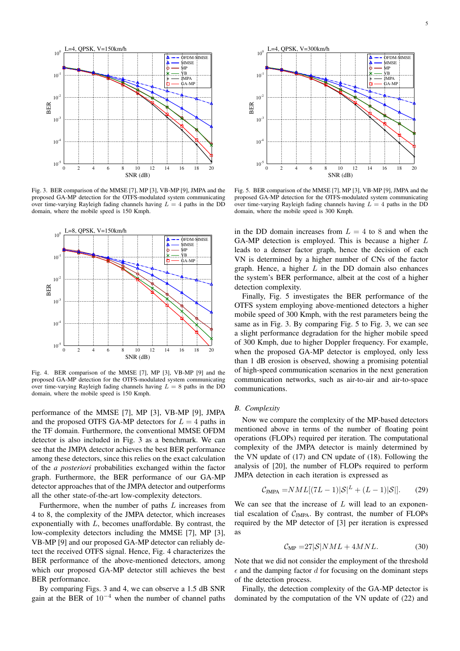

Fig. 3. BER comparison of the MMSE [7], MP [3], VB-MP [9], JMPA and the proposed GA-MP detection for the OTFS-modulated system communicating over time-varying Rayleigh fading channels having  $L = 4$  paths in the DD domain, where the mobile speed is 150 Kmph.



Fig. 4. BER comparison of the MMSE [7], MP [3], VB-MP [9] and the proposed GA-MP detection for the OTFS-modulated system communicating over time-varying Rayleigh fading channels having  $L = 8$  paths in the DD domain, where the mobile speed is 150 Kmph.

performance of the MMSE [7], MP [3], VB-MP [9], JMPA and the proposed OTFS GA-MP detectors for  $L = 4$  paths in the TF domain. Furthermore, the conventional MMSE OFDM detector is also included in Fig. 3 as a benchmark. We can see that the JMPA detector achieves the best BER performance among these detectors, since this relies on the exact calculation of the *a posteriori* probabilities exchanged within the factor graph. Furthermore, the BER performance of our GA-MP detector approaches that of the JMPA detector and outperforms all the other state-of-the-art low-complexity detectors.

Furthermore, when the number of paths L increases from 4 to 8, the complexity of the JMPA detector, which increases exponentially with  $L$ , becomes unaffordable. By contrast, the low-complexity detectors including the MMSE [7], MP [3], VB-MP [9] and our proposed GA-MP detector can reliably detect the received OTFS signal. Hence, Fig. 4 characterizes the BER performance of the above-mentioned detectors, among which our proposed GA-MP detector still achieves the best BER performance.

By comparing Figs. 3 and 4, we can observe a 1.5 dB SNR gain at the BER of 10<sup>−</sup><sup>4</sup> when the number of channel paths



Fig. 5. BER comparison of the MMSE [7], MP [3], VB-MP [9], JMPA and the proposed GA-MP detection for the OTFS-modulated system communicating over time-varying Rayleigh fading channels having  $L = 4$  paths in the DD domain, where the mobile speed is 300 Kmph.

in the DD domain increases from  $L = 4$  to 8 and when the GA-MP detection is employed. This is because a higher L leads to a denser factor graph, hence the decision of each VN is determined by a higher number of CNs of the factor graph. Hence, a higher  $L$  in the DD domain also enhances the system's BER performance, albeit at the cost of a higher detection complexity.

Finally, Fig. 5 investigates the BER performance of the OTFS system employing above-mentioned detectors a higher mobile speed of 300 Kmph, with the rest parameters being the same as in Fig. 3. By comparing Fig. 5 to Fig. 3, we can see a slight performance degradation for the higher mobile speed of 300 Kmph, due to higher Doppler frequency. For example, when the proposed GA-MP detector is employed, only less than 1 dB erosion is observed, showing a promising potential of high-speed communication scenarios in the next generation communication networks, such as air-to-air and air-to-space communications.

#### *B. Complexity*

Now we compare the complexity of the MP-based detectors mentioned above in terms of the number of floating point operations (FLOPs) required per iteration. The computational complexity of the JMPA detector is mainly determined by the VN update of (17) and CN update of (18). Following the analysis of [20], the number of FLOPs required to perform JMPA detection in each iteration is expressed as

$$
C_{\text{JMPA}} = NML[(7L-1)|S|^{L} + (L-1)|S|].
$$
 (29)

We can see that the increase of  $L$  will lead to an exponential escalation of  $C_{\text{IMPA}}$ . By contrast, the number of FLOPs required by the MP detector of [3] per iteration is expressed as

$$
C_{\rm MP} = 27|S|NML + 4MNL.
$$
 (30)

Note that we did not consider the employment of the threshold  $\epsilon$  and the damping factor d for focusing on the dominant steps of the detection process.

Finally, the detection complexity of the GA-MP detector is dominated by the computation of the VN update of (22) and